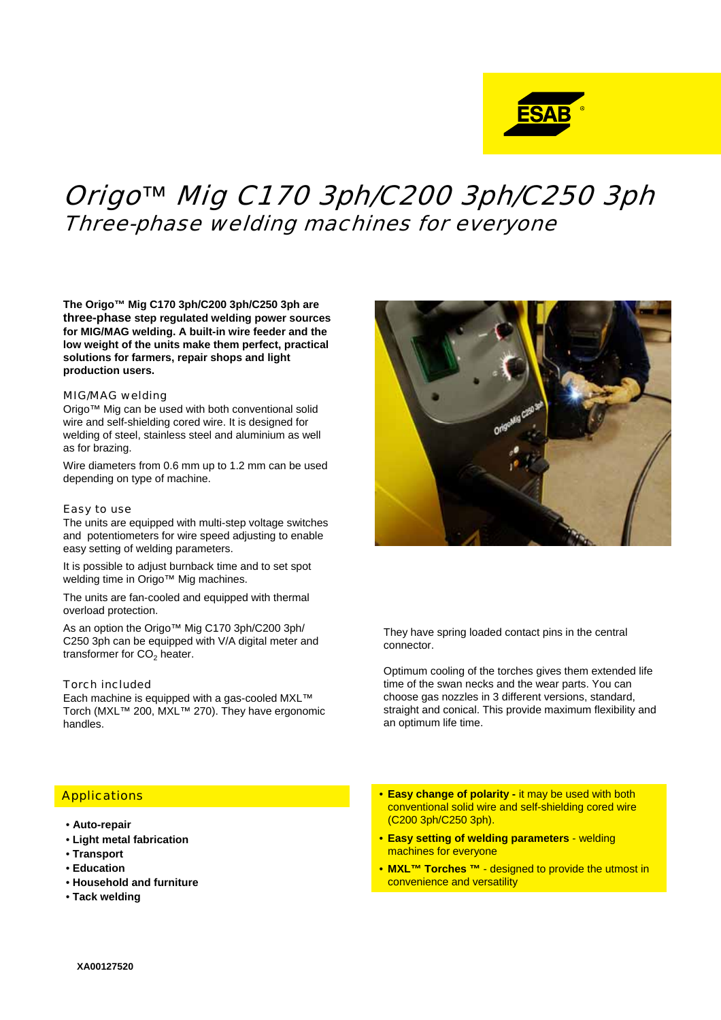

# Origo*™* Mig C170 3ph/C200 3ph/C250 3ph Three-phase welding machines for everyone

**The Origo™ Mig C170 3ph/C200 3ph/C250 3ph are three-phase step regulated welding power sources for MIG/MAG welding. A built-in wire feeder and the low weight of the units make them perfect, practical solutions for farmers, repair shops and light production users.**

#### MIG/MAG welding

Origo™ Mig can be used with both conventional solid wire and self-shielding cored wire. It is designed for welding of steel, stainless steel and aluminium as well as for brazing.

Wire diameters from 0.6 mm up to 1.2 mm can be used depending on type of machine.

#### Easy to use

The units are equipped with multi-step voltage switches and potentiometers for wire speed adjusting to enable easy setting of welding parameters.

It is possible to adjust burnback time and to set spot welding time in Origo™ Mig machines.

The units are fan-cooled and equipped with thermal overload protection.

As an option the Origo™ Mig C170 3ph/C200 3ph/ C250 3ph can be equipped with V/A digital meter and transformer for  $CO<sub>2</sub>$  heater.

#### Torch included

Each machine is equipped with a gas-cooled MXL™ Torch (MXL™ 200, MXL™ 270). They have ergonomic handles.



They have spring loaded contact pins in the central connector.

Optimum cooling of the torches gives them extended life time of the swan necks and the wear parts. You can choose gas nozzles in 3 different versions, standard, straight and conical. This provide maximum flexibility and an optimum life time.

## **Applications**

- **Auto-repair**
- **Light metal fabrication**
- **Transport**
- **Education**
- **Household and furniture**
- **Tack welding**
- **Easy change of polarity it may be used with both** conventional solid wire and self-shielding cored wire (C200 3ph/C250 3ph).
- **Easy setting of welding parameters** welding machines for everyone
- **MXL™ Torches ™** designed to provide the utmost in convenience and versatility